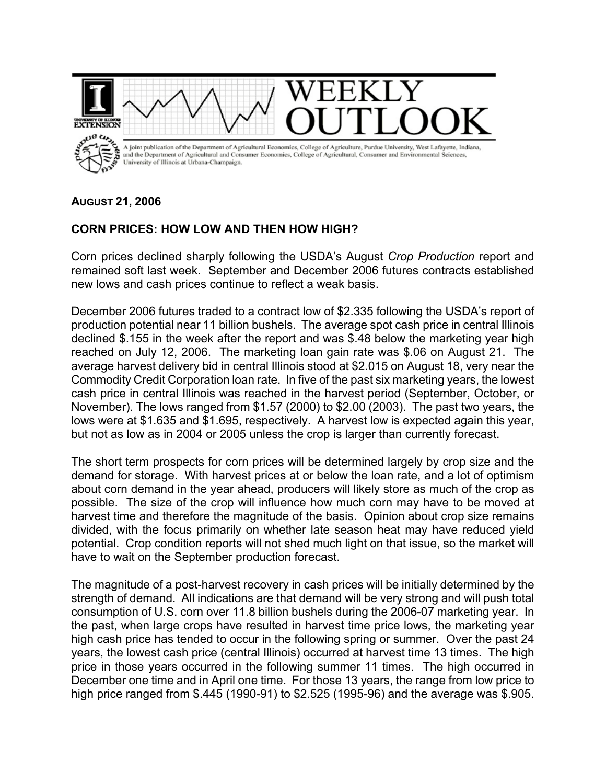

## **AUGUST 21, 2006**

## **CORN PRICES: HOW LOW AND THEN HOW HIGH?**

Corn prices declined sharply following the USDA's August *Crop Production* report and remained soft last week. September and December 2006 futures contracts established new lows and cash prices continue to reflect a weak basis.

December 2006 futures traded to a contract low of \$2.335 following the USDA's report of production potential near 11 billion bushels. The average spot cash price in central Illinois declined \$.155 in the week after the report and was \$.48 below the marketing year high reached on July 12, 2006. The marketing loan gain rate was \$.06 on August 21. The average harvest delivery bid in central Illinois stood at \$2.015 on August 18, very near the Commodity Credit Corporation loan rate. In five of the past six marketing years, the lowest cash price in central Illinois was reached in the harvest period (September, October, or November). The lows ranged from \$1.57 (2000) to \$2.00 (2003). The past two years, the lows were at \$1.635 and \$1.695, respectively. A harvest low is expected again this year, but not as low as in 2004 or 2005 unless the crop is larger than currently forecast.

The short term prospects for corn prices will be determined largely by crop size and the demand for storage. With harvest prices at or below the loan rate, and a lot of optimism about corn demand in the year ahead, producers will likely store as much of the crop as possible. The size of the crop will influence how much corn may have to be moved at harvest time and therefore the magnitude of the basis. Opinion about crop size remains divided, with the focus primarily on whether late season heat may have reduced yield potential. Crop condition reports will not shed much light on that issue, so the market will have to wait on the September production forecast.

The magnitude of a post-harvest recovery in cash prices will be initially determined by the strength of demand. All indications are that demand will be very strong and will push total consumption of U.S. corn over 11.8 billion bushels during the 2006-07 marketing year. In the past, when large crops have resulted in harvest time price lows, the marketing year high cash price has tended to occur in the following spring or summer. Over the past 24 years, the lowest cash price (central Illinois) occurred at harvest time 13 times. The high price in those years occurred in the following summer 11 times. The high occurred in December one time and in April one time. For those 13 years, the range from low price to high price ranged from \$.445 (1990-91) to \$2.525 (1995-96) and the average was \$.905.